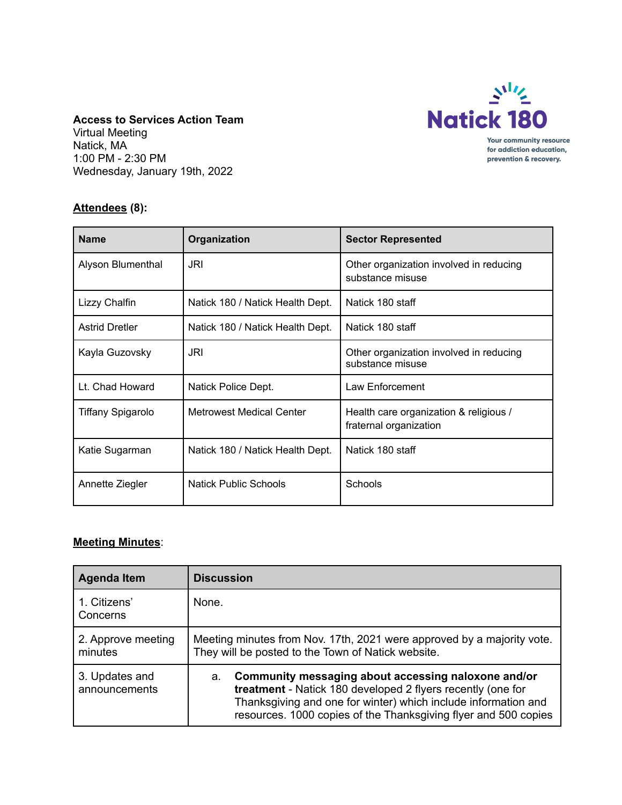

**Access to Services Action Team** Virtual Meeting Natick, MA 1:00 PM - 2:30 PM

Wednesday, January 19th, 2022

## **Attendees (8):**

| <b>Name</b>           | Organization                     | <b>Sector Represented</b>                                        |
|-----------------------|----------------------------------|------------------------------------------------------------------|
| Alyson Blumenthal     | JRI                              | Other organization involved in reducing<br>substance misuse      |
| Lizzy Chalfin         | Natick 180 / Natick Health Dept. | Natick 180 staff                                                 |
| <b>Astrid Dretler</b> | Natick 180 / Natick Health Dept. | Natick 180 staff                                                 |
| Kayla Guzovsky        | JRI                              | Other organization involved in reducing<br>substance misuse      |
| Lt. Chad Howard       | Natick Police Dept.              | Law Enforcement                                                  |
| Tiffany Spigarolo     | <b>Metrowest Medical Center</b>  | Health care organization & religious /<br>fraternal organization |
| Katie Sugarman        | Natick 180 / Natick Health Dept. | Natick 180 staff                                                 |
| Annette Ziegler       | <b>Natick Public Schools</b>     | Schools                                                          |

## **Meeting Minutes**:

| <b>Agenda Item</b>              | <b>Discussion</b>                                                                                                                                                                                                                                             |
|---------------------------------|---------------------------------------------------------------------------------------------------------------------------------------------------------------------------------------------------------------------------------------------------------------|
| 1. Citizens'<br>Concerns        | None.                                                                                                                                                                                                                                                         |
| 2. Approve meeting<br>minutes   | Meeting minutes from Nov. 17th, 2021 were approved by a majority vote.<br>They will be posted to the Town of Natick website.                                                                                                                                  |
| 3. Updates and<br>announcements | Community messaging about accessing naloxone and/or<br>a.<br>treatment - Natick 180 developed 2 flyers recently (one for<br>Thanksgiving and one for winter) which include information and<br>resources. 1000 copies of the Thanksgiving flyer and 500 copies |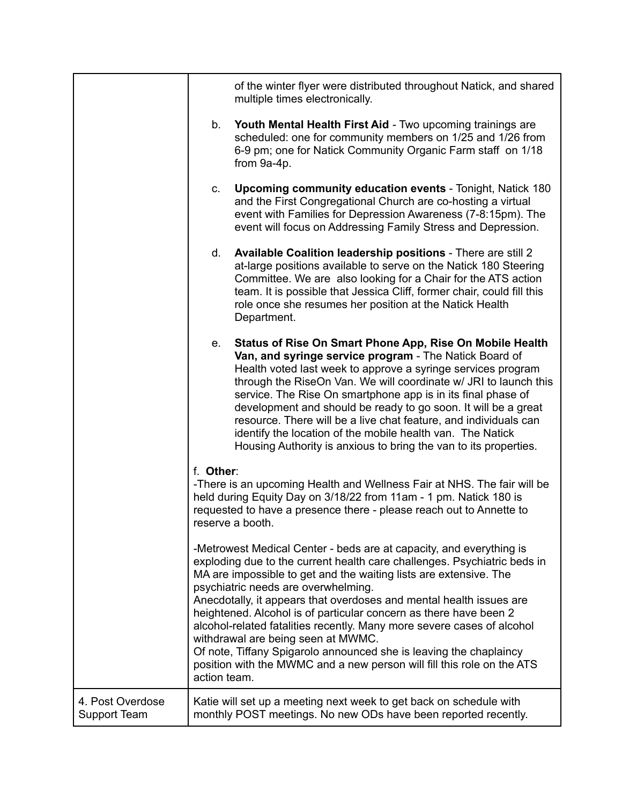|                                  |                                                                                                                                                                                                                                                                                                                                                                                                                                                                                                                                                                                                                                                                                                                                                                                                                                                                                                                                                 | of the winter flyer were distributed throughout Natick, and shared<br>multiple times electronically.                                                                                                                                                                                                                                                                                                                                                                                                                                                                                           |
|----------------------------------|-------------------------------------------------------------------------------------------------------------------------------------------------------------------------------------------------------------------------------------------------------------------------------------------------------------------------------------------------------------------------------------------------------------------------------------------------------------------------------------------------------------------------------------------------------------------------------------------------------------------------------------------------------------------------------------------------------------------------------------------------------------------------------------------------------------------------------------------------------------------------------------------------------------------------------------------------|------------------------------------------------------------------------------------------------------------------------------------------------------------------------------------------------------------------------------------------------------------------------------------------------------------------------------------------------------------------------------------------------------------------------------------------------------------------------------------------------------------------------------------------------------------------------------------------------|
|                                  | b.                                                                                                                                                                                                                                                                                                                                                                                                                                                                                                                                                                                                                                                                                                                                                                                                                                                                                                                                              | Youth Mental Health First Aid - Two upcoming trainings are<br>scheduled: one for community members on 1/25 and 1/26 from<br>6-9 pm; one for Natick Community Organic Farm staff on 1/18<br>from 9a-4p.                                                                                                                                                                                                                                                                                                                                                                                         |
|                                  | C.                                                                                                                                                                                                                                                                                                                                                                                                                                                                                                                                                                                                                                                                                                                                                                                                                                                                                                                                              | Upcoming community education events - Tonight, Natick 180<br>and the First Congregational Church are co-hosting a virtual<br>event with Families for Depression Awareness (7-8:15pm). The<br>event will focus on Addressing Family Stress and Depression.                                                                                                                                                                                                                                                                                                                                      |
|                                  | d.                                                                                                                                                                                                                                                                                                                                                                                                                                                                                                                                                                                                                                                                                                                                                                                                                                                                                                                                              | Available Coalition leadership positions - There are still 2<br>at-large positions available to serve on the Natick 180 Steering<br>Committee. We are also looking for a Chair for the ATS action<br>team. It is possible that Jessica Cliff, former chair, could fill this<br>role once she resumes her position at the Natick Health<br>Department.                                                                                                                                                                                                                                          |
|                                  | e.                                                                                                                                                                                                                                                                                                                                                                                                                                                                                                                                                                                                                                                                                                                                                                                                                                                                                                                                              | Status of Rise On Smart Phone App, Rise On Mobile Health<br>Van, and syringe service program - The Natick Board of<br>Health voted last week to approve a syringe services program<br>through the RiseOn Van. We will coordinate w/ JRI to launch this<br>service. The Rise On smartphone app is in its final phase of<br>development and should be ready to go soon. It will be a great<br>resource. There will be a live chat feature, and individuals can<br>identify the location of the mobile health van. The Natick<br>Housing Authority is anxious to bring the van to its properties. |
|                                  | f. Other:<br>-There is an upcoming Health and Wellness Fair at NHS. The fair will be<br>held during Equity Day on 3/18/22 from 11am - 1 pm. Natick 180 is<br>requested to have a presence there - please reach out to Annette to<br>reserve a booth.<br>-Metrowest Medical Center - beds are at capacity, and everything is<br>exploding due to the current health care challenges. Psychiatric beds in<br>MA are impossible to get and the waiting lists are extensive. The<br>psychiatric needs are overwhelming.<br>Anecdotally, it appears that overdoses and mental health issues are<br>heightened. Alcohol is of particular concern as there have been 2<br>alcohol-related fatalities recently. Many more severe cases of alcohol<br>withdrawal are being seen at MWMC.<br>Of note, Tiffany Spigarolo announced she is leaving the chaplaincy<br>position with the MWMC and a new person will fill this role on the ATS<br>action team. |                                                                                                                                                                                                                                                                                                                                                                                                                                                                                                                                                                                                |
|                                  |                                                                                                                                                                                                                                                                                                                                                                                                                                                                                                                                                                                                                                                                                                                                                                                                                                                                                                                                                 |                                                                                                                                                                                                                                                                                                                                                                                                                                                                                                                                                                                                |
| 4. Post Overdose<br>Support Team |                                                                                                                                                                                                                                                                                                                                                                                                                                                                                                                                                                                                                                                                                                                                                                                                                                                                                                                                                 | Katie will set up a meeting next week to get back on schedule with<br>monthly POST meetings. No new ODs have been reported recently.                                                                                                                                                                                                                                                                                                                                                                                                                                                           |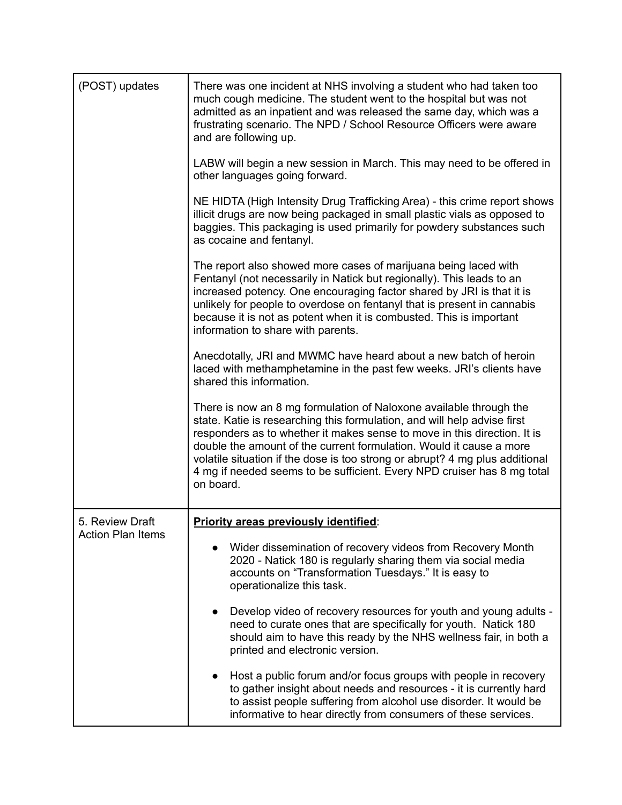| (POST) updates                              | There was one incident at NHS involving a student who had taken too<br>much cough medicine. The student went to the hospital but was not<br>admitted as an inpatient and was released the same day, which was a<br>frustrating scenario. The NPD / School Resource Officers were aware<br>and are following up.                                                                                                                                                           |  |  |  |
|---------------------------------------------|---------------------------------------------------------------------------------------------------------------------------------------------------------------------------------------------------------------------------------------------------------------------------------------------------------------------------------------------------------------------------------------------------------------------------------------------------------------------------|--|--|--|
|                                             | LABW will begin a new session in March. This may need to be offered in<br>other languages going forward.                                                                                                                                                                                                                                                                                                                                                                  |  |  |  |
|                                             | NE HIDTA (High Intensity Drug Trafficking Area) - this crime report shows<br>illicit drugs are now being packaged in small plastic vials as opposed to<br>baggies. This packaging is used primarily for powdery substances such<br>as cocaine and fentanyl.                                                                                                                                                                                                               |  |  |  |
|                                             | The report also showed more cases of marijuana being laced with<br>Fentanyl (not necessarily in Natick but regionally). This leads to an<br>increased potency. One encouraging factor shared by JRI is that it is<br>unlikely for people to overdose on fentanyl that is present in cannabis<br>because it is not as potent when it is combusted. This is important<br>information to share with parents.                                                                 |  |  |  |
|                                             | Anecdotally, JRI and MWMC have heard about a new batch of heroin<br>laced with methamphetamine in the past few weeks. JRI's clients have<br>shared this information.                                                                                                                                                                                                                                                                                                      |  |  |  |
|                                             | There is now an 8 mg formulation of Naloxone available through the<br>state. Katie is researching this formulation, and will help advise first<br>responders as to whether it makes sense to move in this direction. It is<br>double the amount of the current formulation. Would it cause a more<br>volatile situation if the dose is too strong or abrupt? 4 mg plus additional<br>4 mg if needed seems to be sufficient. Every NPD cruiser has 8 mg total<br>on board. |  |  |  |
| 5. Review Draft<br><b>Action Plan Items</b> | <b>Priority areas previously identified:</b>                                                                                                                                                                                                                                                                                                                                                                                                                              |  |  |  |
|                                             | Wider dissemination of recovery videos from Recovery Month<br>2020 - Natick 180 is regularly sharing them via social media<br>accounts on "Transformation Tuesdays." It is easy to<br>operationalize this task.                                                                                                                                                                                                                                                           |  |  |  |
|                                             | Develop video of recovery resources for youth and young adults -<br>$\bullet$<br>need to curate ones that are specifically for youth. Natick 180<br>should aim to have this ready by the NHS wellness fair, in both a<br>printed and electronic version.                                                                                                                                                                                                                  |  |  |  |
|                                             | Host a public forum and/or focus groups with people in recovery<br>to gather insight about needs and resources - it is currently hard<br>to assist people suffering from alcohol use disorder. It would be<br>informative to hear directly from consumers of these services.                                                                                                                                                                                              |  |  |  |